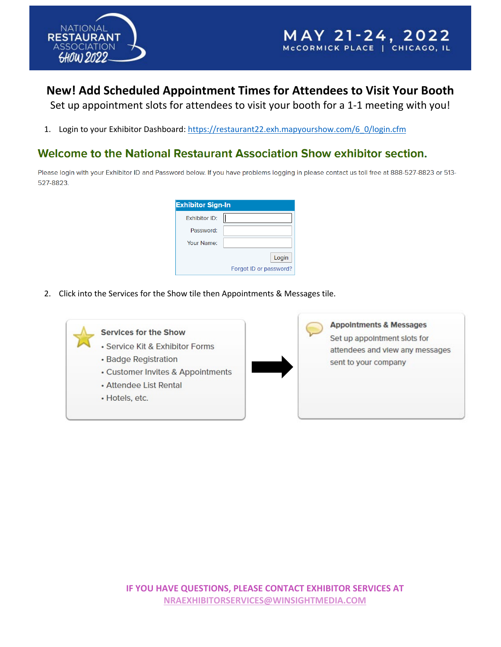

# **New! Add Scheduled Appointment Times for Attendees to Visit Your Booth**

Set up appointment slots for attendees to visit your booth for a 1-1 meeting with you!

1. Login to your Exhibitor Dashboard: https://restaurant22.exh.mapyourshow.com/6\_0/login.cfm

# Welcome to the National Restaurant Association Show exhibitor section.

Please login with your Exhibitor ID and Password below. If you have problems logging in please contact us toll free at 888-527-8823 or 513-527-8823.

| <b>Exhibitor Sign-In</b> |                        |
|--------------------------|------------------------|
| Exhibitor ID:            |                        |
| Password:                |                        |
| Your Name:               |                        |
|                          | Login                  |
|                          | Forgot ID or password? |

2. Click into the Services for the Show tile then Appointments & Messages tile.



**Appointments & Messages** Set up appointment slots for attendees and view any messages sent to your company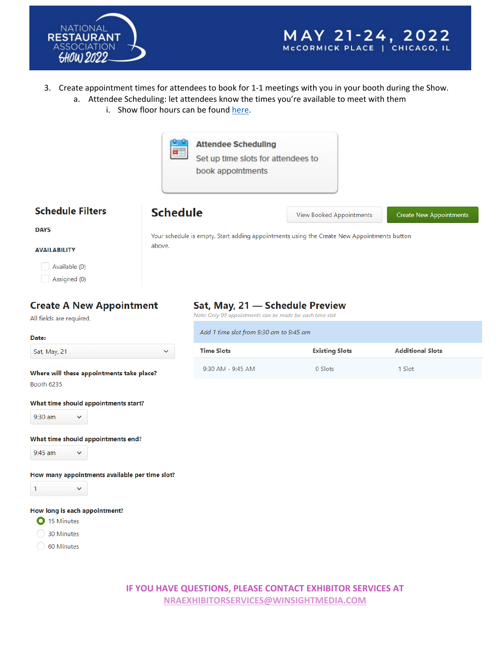



- 3. Create appointment times for attendees to book for 1-1 meetings with you in your booth during the Show.
	- a. Attendee Scheduling: let attendees know the times you're available to meet with them
		- i. Show floor hours can be found here.

 $\checkmark$ 



# **Create A New Appointment**

All fields are required.

### Date:

**DAYS** 

**AVAILABILITY** 

Available (0) Assigned (0)

Sat, May, 21

## Where will these appointments take place?

Booth 6235

## What time should appointments start?

 $\checkmark$ 

9:30 am

## What time should appointments end?

9:45 am  $\checkmark$ 

How many appointments available per time slot?

#### $\mathbf{1}$  $\checkmark$

## How long is each appointment?

- 15 Minutes
- 30 Minutes
- 60 Minutes

# Sat, May, 21 - Schedule Preview

Note: Only 99 appointments can be made for each time slot

| Add 1 time slot from 9:30 am to 9:45 am |                       |                         |  |
|-----------------------------------------|-----------------------|-------------------------|--|
| <b>Time Slots</b>                       | <b>Existing Slots</b> | <b>Additional Slots</b> |  |
| $9:30$ AM - $9:45$ AM                   | 0 Slots               | 1 Slot                  |  |

## IF YOU HAVE QUESTIONS, PLEASE CONTACT EXHIBITOR SERVICES AT NRAEXHIBITORSERVICES@WINSIGHTMEDIA.COM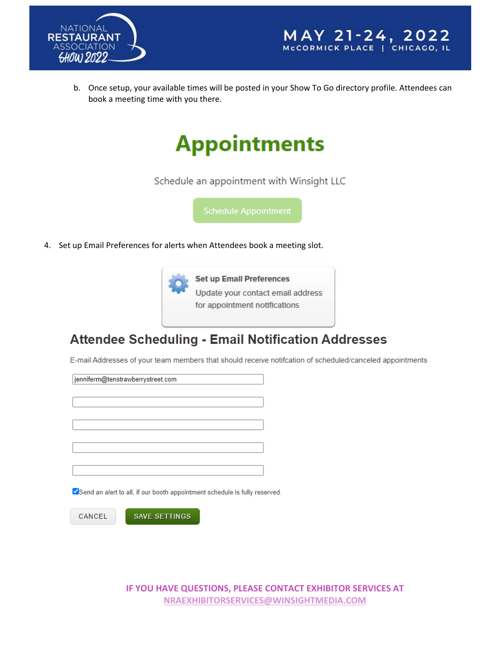



b. Once setup, your available times will be posted in your Show To Go directory profile. Attendees can book a meeting time with you there.

# **Appointments**

Schedule an appointment with Winsight LLC

4. Set up Email Preferences for alerts when Attendees book a meeting slot.



**Set up Email Preferences** Update your contact email address for appointment notifications

# **Attendee Scheduling - Email Notification Addresses**

E-mail Addresses of your team members that should receive notifcation of scheduled/canceled appointments

jenniferm@tenstrawberrystreet.com

Send an alert to all, if our booth appointment schedule is fully reserved.



**SAVE SETTINGS** 

**IF YOU HAVE QUESTIONS, PLEASE CONTACT EXHIBITOR SERVICES AT [NRAEXHIBITORSERVICES@WINSIGHTMEDIA.COM](mailto:nraexhibitorservices@winsightmedia.com)**